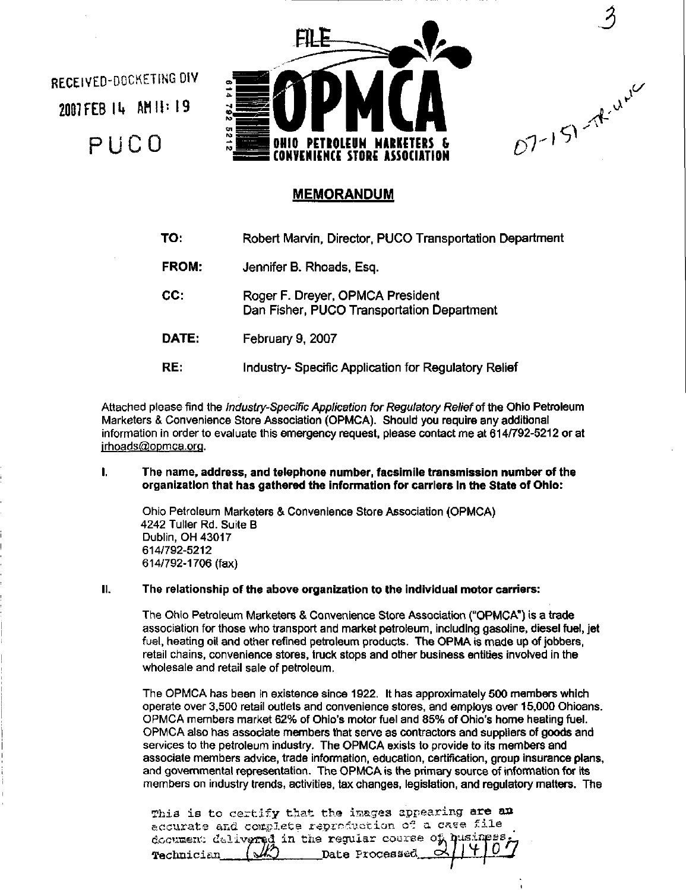RECElVED-OOCKETiNGOIV 2007 FEB 14 AM !!: 19 PUCO



J

 $A^{v'}$ 

 $\mathcal{D}^{\mathcal{T}}$ 

 $\checkmark$ 

# **MEMORANDUM**

| TO:   | Robert Marvin, Director, PUCO Transportation Department                        |
|-------|--------------------------------------------------------------------------------|
| FROM: | Jennifer B. Rhoads, Esq.                                                       |
| CC:   | Roger F. Dreyer, OPMCA President<br>Dan Fisher, PUCO Transportation Department |
| DATE: | February 9, 2007                                                               |
| RE:   | Industry- Specific Application for Regulatory Relief                           |

Attached please find the *Industry-Specific Application for Regulatory Relief* of the Ohio Petroleum Marketers & Convenience Store Association (OPMCA). Should you require any additional information in order to evaluate this emergency request, please contact me at 614/792-5212 or at irhoads@opmca.org.

#### I. The name, address, and telephone number, facsimile transmission number of the organization that has gathered the information for carriers In the State of Ohio:

Ohio Petroleum Marketers & Convenience Store Association (OPMCA) 4242 Tuller Rd. Suite B Dublin, OH 43017 614/792-5212 614/792-1706 (fax)

# II. The relationship of the above organization to the Individual motor carriers:

The Ohio Petroleum Marketers & Convenience Store Association ("OPMCA") is a trade association for those who transport and market petroleum, including gasoline, diesel fuel, jet fuel, heating oil and other refined petroleum products. The OPMA is made up of jobbers. retail chains, convenience stores, truck stops and other business entities involved in the wholesale and retail sale of petroleum.

The OPMCA has been in existence since 1922. It has approximately 500 members which operate over 3,500 retail outlets and convenience stores, and employs over 15,000 Ohioans. OPMCA members market 62% of Ohio's motor fuel and 85% of Ohio's home heating fuel. OPMCA also has associate members that serve as contractors and suppliers of goods and services to the petroleum industry. The OPMCA exists to provide to its members and associate members advice, trade information, education, certification, group insurance plans, and governmental representation. The OPMCA is the primary source of infonrnation for its members on industry trends, activities, tax changes, legislation, and regulatory matters. The

|  |  |  | This is to certify that the images appearing are an                                          |  |  |  |
|--|--|--|----------------------------------------------------------------------------------------------|--|--|--|
|  |  |  | accurate and complete reproduction of a case file                                            |  |  |  |
|  |  |  | document delivered in the regular course of quairess;<br>rechnician (10 mode Processed 01407 |  |  |  |
|  |  |  |                                                                                              |  |  |  |
|  |  |  |                                                                                              |  |  |  |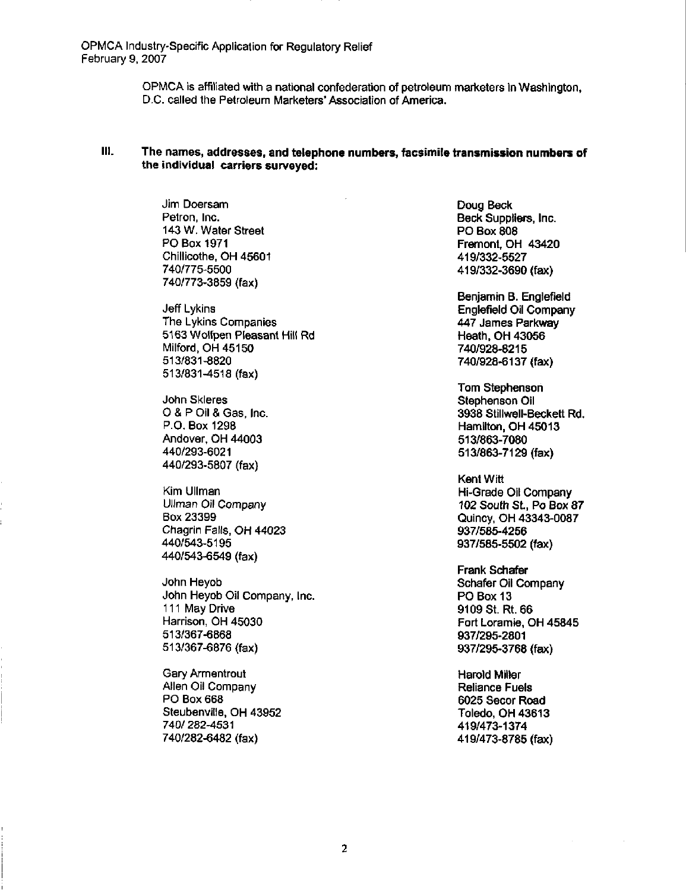OPMCA Industry-Specific Application for Regulatory Relief February 9, 2007

> OPMCA is affiliated with a national confederation of petroleum marketers in Washington, D.C. called the Petroleum Marketers'Association of America.

# 111. The names, addresses, and telephone numbers, facsimile transmission numbers of the individual carriers surveyed:

Jim Doersam Petron, Inc. 143 W. Water Street PO Box 1971 Chillicothe, OH 45601 740/775-5500 740/773-3859 (fax)

Jeff Lykins The Lykins Companies 5163 Wolfpen Pleasant Hill Rd Milford, OH 45150 513/831-8820 513/831-4518 (fax)

John Skleres O & P Oil & Gas, Inc. P.O. Box 1298 Andover, OH 44003 440/293-6021 440/293-5807 (fax)

Kim Ullman Ullman Oil Company Box 23399 Chagrin Falls, OH 44023 440/543-5195 440/543-6549 (fax)

John Heyob John Heyob Oil Company, Inc. 111 May Drive Harrison, OH 45030 513/367-6868 513/367-6876 (fax)

Gary Armentrout Allen Oil Company PO Box 668 Steubenville. OH 43952 740/282-4531 740/282-6482 (fax)

Doug Beck Beck Suppliers, Inc. PO Box 808 Fremont, OH 43420 419/332-5527 419/332-3690 (fax)

Benjamin B. Englefield Englefield Oil Company 447 James Parkway Heath, OH 43056 740/928-8215 740/928-6137 (fax)

Tom Stephenson Stephenson Oil 3938 Stillwell-Beckett Rd. Hamilton, OH 45013 513/863-7080 513/863-7129 (fax)

Kent Witt Hi-Grade Oil Company 102 South St., Po Box 87 Quincy. OH 43343-0087 937/585-4256 937/585-5502 (fax)

Frank Schafer Schafer Oil Company PO Box 13 9109 St. Rt. 66 Fort Loramie, OH 45845 937/295-2801 937/295-3768 (fax)

Harold Miller Reliance Fuels 6025 Secor Road Toledo, OH 43613 419/473-1374 419/473-8785 (fax)